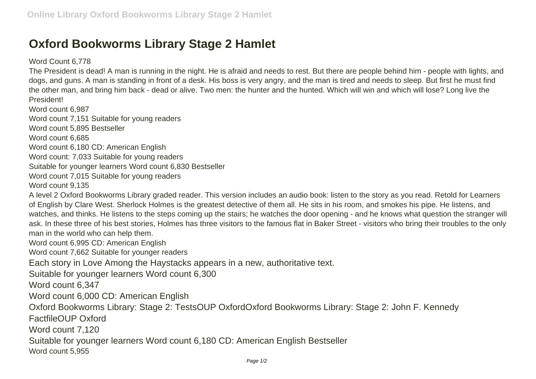## **Oxford Bookworms Library Stage 2 Hamlet**

## Word Count 6,778

The President is dead! A man is running in the night. He is afraid and needs to rest. But there are people behind him - people with lights, and dogs, and guns. A man is standing in front of a desk. His boss is very angry, and the man is tired and needs to sleep. But first he must find the other man, and bring him back - dead or alive. Two men: the hunter and the hunted. Which will win and which will lose? Long live the President!

Word count 6,987

Word count 7,151 Suitable for young readers

Word count 5,895 Bestseller

Word count 6,685

Word count 6,180 CD: American English

Word count: 7,033 Suitable for young readers

Suitable for younger learners Word count 6,830 Bestseller

Word count 7,015 Suitable for young readers

Word count 9,135

A level 2 Oxford Bookworms Library graded reader. This version includes an audio book: listen to the story as you read. Retold for Learners of English by Clare West. Sherlock Holmes is the greatest detective of them all. He sits in his room, and smokes his pipe. He listens, and watches, and thinks. He listens to the steps coming up the stairs; he watches the door opening - and he knows what question the stranger will ask. In these three of his best stories, Holmes has three visitors to the famous flat in Baker Street - visitors who bring their troubles to the only man in the world who can help them.

Word count 6,995 CD: American English

Word count 7,662 Suitable for younger readers

Each story in Love Among the Haystacks appears in a new, authoritative text.

Suitable for younger learners Word count 6,300

Word count 6,347

Word count 6,000 CD: American English

Oxford Bookworms Library: Stage 2: TestsOUP OxfordOxford Bookworms Library: Stage 2: John F. Kennedy

FactfileOUP Oxford

Word count 7,120

Suitable for younger learners Word count 6,180 CD: American English Bestseller

Word count 5,955